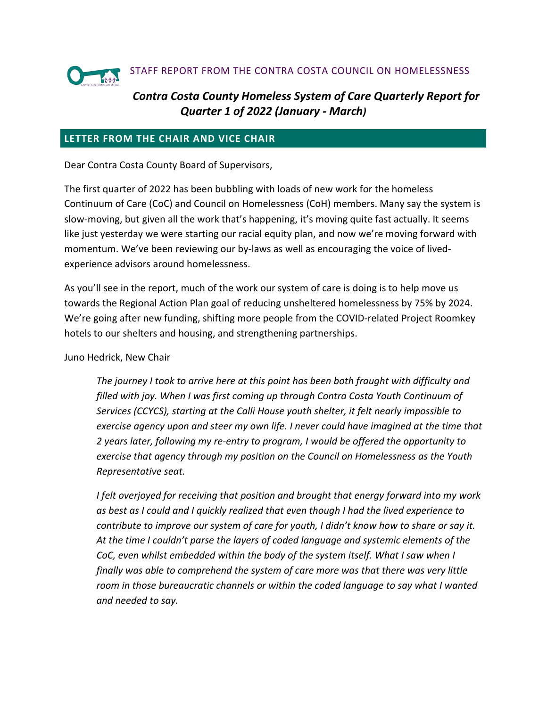

## STAFF REPORT FROM THE CONTRA COSTA COUNCIL ON HOMELESSNESS

# *Contra Costa County Homeless System of Care Quarterly Report for Quarter 1 of 2022 (January - March)*

### **LETTER FROM THE CHAIR AND VICE CHAIR**

Dear Contra Costa County Board of Supervisors,

The first quarter of 2022 has been bubbling with loads of new work for the homeless Continuum of Care (CoC) and Council on Homelessness (CoH) members. Many say the system is slow-moving, but given all the work that's happening, it's moving quite fast actually. It seems like just yesterday we were starting our racial equity plan, and now we're moving forward with momentum. We've been reviewing our by-laws as well as encouraging the voice of livedexperience advisors around homelessness.

As you'll see in the report, much of the work our system of care is doing is to help move us towards the Regional Action Plan goal of reducing unsheltered homelessness by 75% by 2024. We're going after new funding, shifting more people from the COVID-related Project Roomkey hotels to our shelters and housing, and strengthening partnerships.

#### Juno Hedrick, New Chair

*The journey I took to arrive here at this point has been both fraught with difficulty and filled with joy. When I was first coming up through Contra Costa Youth Continuum of Services (CCYCS), starting at the Calli House youth shelter, it felt nearly impossible to exercise agency upon and steer my own life. I never could have imagined at the time that 2 years later, following my re-entry to program, I would be offered the opportunity to exercise that agency through my position on the Council on Homelessness as the Youth Representative seat.* 

*I felt overjoyed for receiving that position and brought that energy forward into my work as best as I could and I quickly realized that even though I had the lived experience to contribute to improve our system of care for youth, I didn't know how to share or say it. At the time I couldn't parse the layers of coded language and systemic elements of the*  CoC, even whilst embedded within the body of the system itself. What I saw when I *finally was able to comprehend the system of care more was that there was very little room in those bureaucratic channels or within the coded language to say what I wanted and needed to say.*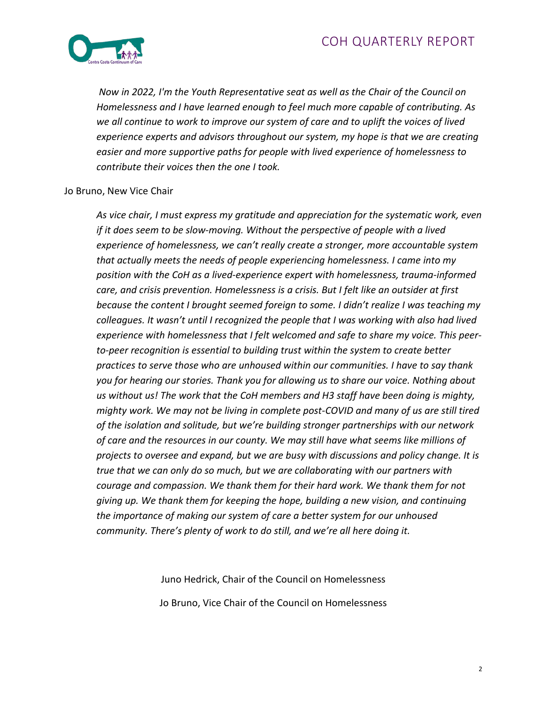

*Now in 2022, I'm the Youth Representative seat as well as the Chair of the Council on Homelessness and I have learned enough to feel much more capable of contributing. As we all continue to work to improve our system of care and to uplift the voices of lived experience experts and advisors throughout our system, my hope is that we are creating easier and more supportive paths for people with lived experience of homelessness to contribute their voices then the one I took.*

#### Jo Bruno, New Vice Chair

*As vice chair, I must express my gratitude and appreciation for the systematic work, even if it does seem to be slow-moving. Without the perspective of people with a lived experience of homelessness, we can't really create a stronger, more accountable system that actually meets the needs of people experiencing homelessness. I came into my position with the CoH as a lived-experience expert with homelessness, trauma-informed care, and crisis prevention. Homelessness is a crisis. But I felt like an outsider at first because the content I brought seemed foreign to some. I didn't realize I was teaching my colleagues. It wasn't until I recognized the people that I was working with also had lived experience with homelessness that I felt welcomed and safe to share my voice. This peerto-peer recognition is essential to building trust within the system to create better practices to serve those who are unhoused within our communities. I have to say thank you for hearing our stories. Thank you for allowing us to share our voice. Nothing about us without us! The work that the CoH members and H3 staff have been doing is mighty, mighty work. We may not be living in complete post-COVID and many of us are still tired of the isolation and solitude, but we're building stronger partnerships with our network of care and the resources in our county. We may still have what seems like millions of projects to oversee and expand, but we are busy with discussions and policy change. It is true that we can only do so much, but we are collaborating with our partners with courage and compassion. We thank them for their hard work. We thank them for not giving up. We thank them for keeping the hope, building a new vision, and continuing the importance of making our system of care a better system for our unhoused community. There's plenty of work to do still, and we're all here doing it.*

Juno Hedrick, Chair of the Council on Homelessness

Jo Bruno, Vice Chair of the Council on Homelessness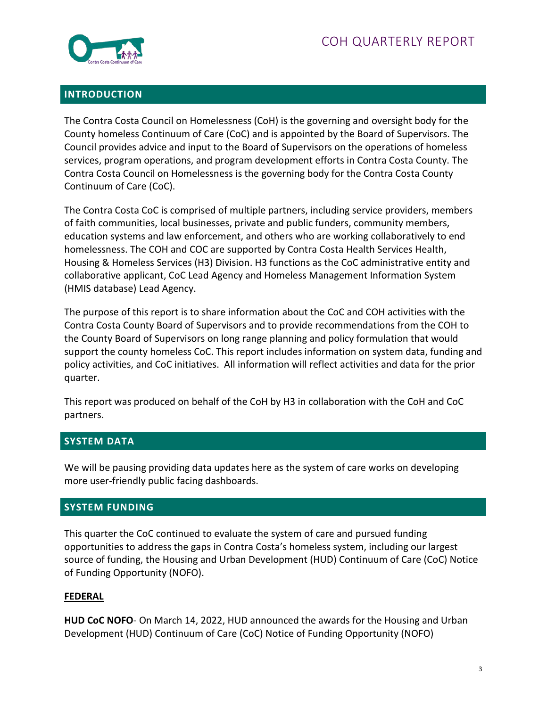

## **INTRODUCTION**

The Contra Costa Council on Homelessness (CoH) is the governing and oversight body for the County homeless Continuum of Care (CoC) and is appointed by the Board of Supervisors. The Council provides advice and input to the Board of Supervisors on the operations of homeless services, program operations, and program development efforts in Contra Costa County. The Contra Costa Council on Homelessness is the governing body for the Contra Costa County Continuum of Care (CoC).

The Contra Costa CoC is comprised of multiple partners, including service providers, members of faith communities, local businesses, private and public funders, community members, education systems and law enforcement, and others who are working collaboratively to end homelessness. The COH and COC are supported by Contra Costa Health Services Health, Housing & Homeless Services (H3) Division. H3 functions as the CoC administrative entity and collaborative applicant, CoC Lead Agency and Homeless Management Information System (HMIS database) Lead Agency.

The purpose of this report is to share information about the CoC and COH activities with the Contra Costa County Board of Supervisors and to provide recommendations from the COH to the County Board of Supervisors on long range planning and policy formulation that would support the county homeless CoC. This report includes information on system data, funding and policy activities, and CoC initiatives. All information will reflect activities and data for the prior quarter.

This report was produced on behalf of the CoH by H3 in collaboration with the CoH and CoC partners.

## **SYSTEM DATA**

We will be pausing providing data updates here as the system of care works on developing more user-friendly public facing dashboards.

## **SYSTEM FUNDING**

This quarter the CoC continued to evaluate the system of care and pursued funding opportunities to address the gaps in Contra Costa's homeless system, including our largest source of funding, the Housing and Urban Development (HUD) Continuum of Care (CoC) Notice of Funding Opportunity (NOFO).

## **FEDERAL**

**HUD CoC NOFO**- On March 14, 2022, HUD announced the awards for the Housing and Urban Development (HUD) Continuum of Care (CoC) Notice of Funding Opportunity (NOFO)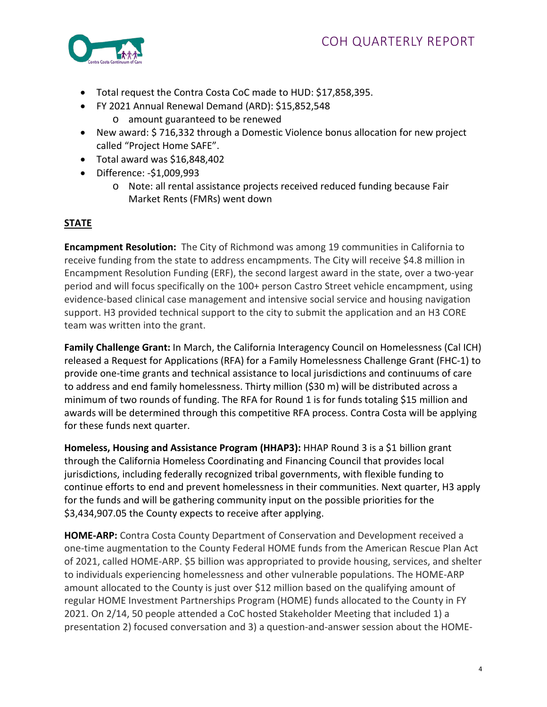

- Total request the Contra Costa CoC made to HUD: \$17,858,395.
- FY 2021 Annual Renewal Demand (ARD): \$15,852,548
	- o amount guaranteed to be renewed
- New award: \$ 716,332 through a Domestic Violence bonus allocation for new project called "Project Home SAFE".
- Total award was \$16,848,402
- Difference: -\$1,009,993
	- o Note: all rental assistance projects received reduced funding because Fair Market Rents (FMRs) went down

# **STATE**

**Encampment Resolution:** The City of Richmond was among 19 communities in California to receive funding from the state to address encampments. The City will receive \$4.8 million in Encampment Resolution Funding (ERF), the second largest award in the state, over a two-year period and will focus specifically on the 100+ person Castro Street vehicle encampment, using evidence-based clinical case management and intensive social service and housing navigation support. H3 provided technical support to the city to submit the application and an H3 CORE team was written into the grant.

**Family Challenge Grant:** In March, the California Interagency Council on Homelessness (Cal ICH) released a Request for Applications (RFA) for a Family Homelessness Challenge Grant (FHC-1) to provide one-time grants and technical assistance to local jurisdictions and continuums of care to address and end family homelessness. Thirty million (\$30 m) will be distributed across a minimum of two rounds of funding. The RFA for Round 1 is for funds totaling \$15 million and awards will be determined through this competitive RFA process. Contra Costa will be applying for these funds next quarter.

**Homeless, Housing and Assistance Program (HHAP3):** HHAP Round 3 is a \$1 billion grant through the California Homeless Coordinating and Financing Council that provides local jurisdictions, including federally recognized tribal governments, with flexible funding to continue efforts to end and prevent homelessness in their communities. Next quarter, H3 apply for the funds and will be gathering community input on the possible priorities for the \$3,434,907.05 the County expects to receive after applying.

**HOME-ARP:** Contra Costa County Department of Conservation and Development received a one-time augmentation to the County Federal HOME funds from the American Rescue Plan Act of 2021, called HOME-ARP. \$5 billion was appropriated to provide housing, services, and shelter to individuals experiencing homelessness and other vulnerable populations. The HOME-ARP amount allocated to the County is just over \$12 million based on the qualifying amount of regular HOME Investment Partnerships Program (HOME) funds allocated to the County in FY 2021. On 2/14, 50 people attended a CoC hosted Stakeholder Meeting that included 1) a presentation 2) focused conversation and 3) a question-and-answer session about the HOME-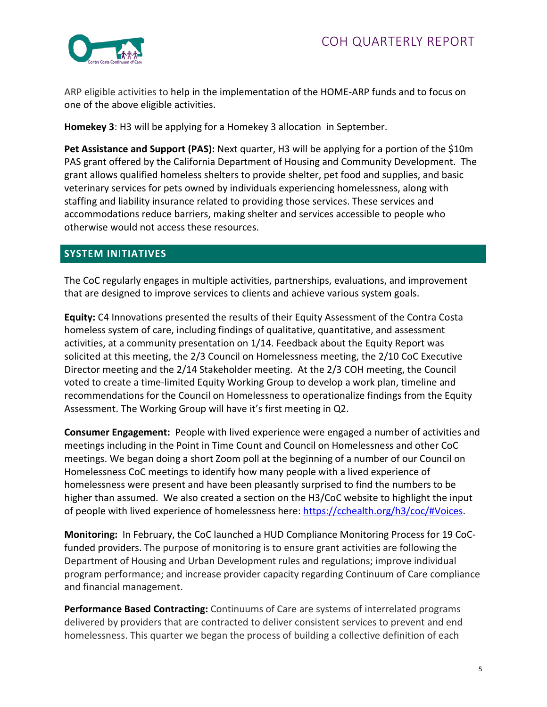

ARP eligible activities to help in the implementation of the HOME-ARP funds and to focus on one of the above eligible activities.

**Homekey 3**: H3 will be applying for a Homekey 3 allocation in September.

Pet Assistance and Support (PAS): Next quarter, H3 will be applying for a portion of the \$10m PAS grant offered by the California Department of Housing and Community Development. The grant allows qualified homeless shelters to provide shelter, pet food and supplies, and basic veterinary services for pets owned by individuals experiencing homelessness, along with staffing and liability insurance related to providing those services. These services and accommodations reduce barriers, making shelter and services accessible to people who otherwise would not access these resources.

## **SYSTEM INITIATIVES**

The CoC regularly engages in multiple activities, partnerships, evaluations, and improvement that are designed to improve services to clients and achieve various system goals.

**Equity:** C4 Innovations presented the results of their Equity Assessment of the Contra Costa homeless system of care, including findings of qualitative, quantitative, and assessment activities, at a community presentation on 1/14. Feedback about the Equity Report was solicited at this meeting, the 2/3 Council on Homelessness meeting, the 2/10 CoC Executive Director meeting and the 2/14 Stakeholder meeting. At the 2/3 COH meeting, the Council voted to create a time-limited Equity Working Group to develop a work plan, timeline and recommendations for the Council on Homelessness to operationalize findings from the Equity Assessment. The Working Group will have it's first meeting in Q2.

**Consumer Engagement:** People with lived experience were engaged a number of activities and meetings including in the Point in Time Count and Council on Homelessness and other CoC meetings. We began doing a short Zoom poll at the beginning of a number of our Council on Homelessness CoC meetings to identify how many people with a lived experience of homelessness were present and have been pleasantly surprised to find the numbers to be higher than assumed. We also created a section on the H3/CoC website to highlight the input of people with lived experience of homelessness here: [https://cchealth.org/h3/coc/#Voices.](https://cchealth.org/h3/coc/#Voices)

**Monitoring:** In February, the CoC launched a HUD Compliance Monitoring Process for 19 CoCfunded providers. The purpose of monitoring is to ensure grant activities are following the Department of Housing and Urban Development rules and regulations; improve individual program performance; and increase provider capacity regarding Continuum of Care compliance and financial management.

**Performance Based Contracting:** Continuums of Care are systems of interrelated programs delivered by providers that are contracted to deliver consistent services to prevent and end homelessness. This quarter we began the process of building a collective definition of each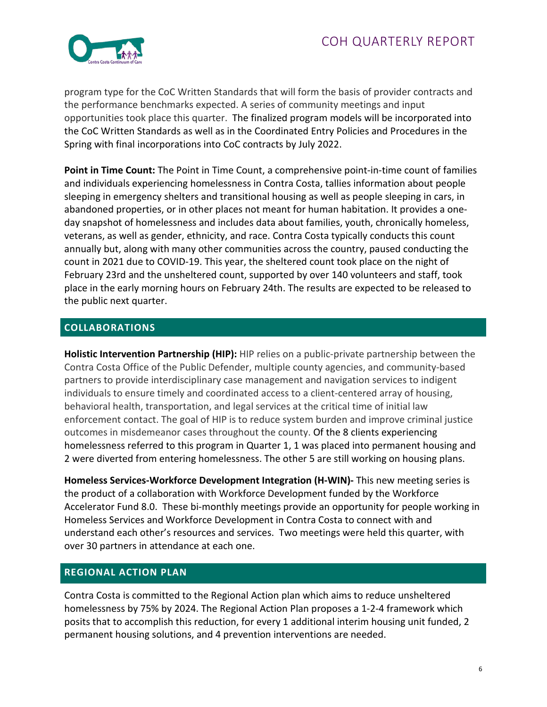

program type for the CoC Written Standards that will form the basis of provider contracts and the performance benchmarks expected. A series of community meetings and input opportunities took place this quarter. The finalized program models will be incorporated into the CoC Written Standards as well as in the Coordinated Entry Policies and Procedures in the Spring with final incorporations into CoC contracts by July 2022.

**Point in Time Count:** The Point in Time Count, a comprehensive point-in-time count of families and individuals experiencing homelessness in Contra Costa, tallies information about people sleeping in emergency shelters and transitional housing as well as people sleeping in cars, in abandoned properties, or in other places not meant for human habitation. It provides a oneday snapshot of homelessness and includes data about families, youth, chronically homeless, veterans, as well as gender, ethnicity, and race. Contra Costa typically conducts this count annually but, along with many other communities across the country, paused conducting the count in 2021 due to COVID-19. This year, the sheltered count took place on the night of February 23rd and the unsheltered count, supported by over 140 volunteers and staff, took place in the early morning hours on February 24th. The results are expected to be released to the public next quarter.

# **COLLABORATIONS**

**Holistic Intervention Partnership (HIP):** HIP relies on a public-private partnership between the Contra Costa Office of the Public Defender, multiple county agencies, and community-based partners to provide interdisciplinary case management and navigation services to indigent individuals to ensure timely and coordinated access to a client-centered array of housing, behavioral health, transportation, and legal services at the critical time of initial law enforcement contact. The goal of HIP is to reduce system burden and improve criminal justice outcomes in misdemeanor cases throughout the county. Of the 8 clients experiencing homelessness referred to this program in Quarter 1, 1 was placed into permanent housing and 2 were diverted from entering homelessness. The other 5 are still working on housing plans.

**Homeless Services-Workforce Development Integration (H-WIN)-** This new meeting series is the product of a collaboration with Workforce Development funded by the Workforce Accelerator Fund 8.0. These bi-monthly meetings provide an opportunity for people working in Homeless Services and Workforce Development in Contra Costa to connect with and understand each other's resources and services. Two meetings were held this quarter, with over 30 partners in attendance at each one.

# **REGIONAL ACTION PLAN**

Contra Costa is committed to the Regional Action plan which aims to reduce unsheltered homelessness by 75% by 2024. The Regional Action Plan proposes a 1-2-4 framework which posits that to accomplish this reduction, for every 1 additional interim housing unit funded, 2 permanent housing solutions, and 4 prevention interventions are needed.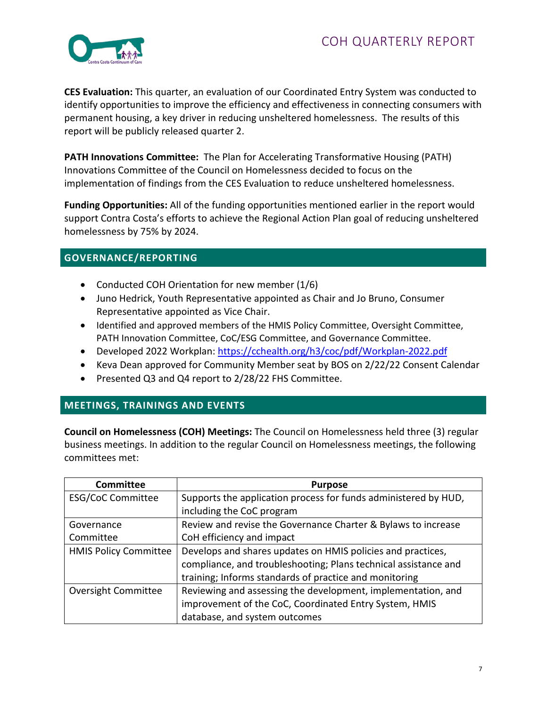

**CES Evaluation:** This quarter, an evaluation of our Coordinated Entry System was conducted to identify opportunities to improve the efficiency and effectiveness in connecting consumers with permanent housing, a key driver in reducing unsheltered homelessness. The results of this report will be publicly released quarter 2.

**PATH Innovations Committee:** The Plan for Accelerating Transformative Housing (PATH) Innovations Committee of the Council on Homelessness decided to focus on the implementation of findings from the CES Evaluation to reduce unsheltered homelessness.

**Funding Opportunities:** All of the funding opportunities mentioned earlier in the report would support Contra Costa's efforts to achieve the Regional Action Plan goal of reducing unsheltered homelessness by 75% by 2024.

## **GOVERNANCE/REPORTING**

- Conducted COH Orientation for new member (1/6)
- Juno Hedrick, Youth Representative appointed as Chair and Jo Bruno, Consumer Representative appointed as Vice Chair.
- Identified and approved members of the HMIS Policy Committee, Oversight Committee, PATH Innovation Committee, CoC/ESG Committee, and Governance Committee.
- Developed 2022 Workplan:<https://cchealth.org/h3/coc/pdf/Workplan-2022.pdf>
- Keva Dean approved for Community Member seat by BOS on 2/22/22 Consent Calendar
- Presented Q3 and Q4 report to 2/28/22 FHS Committee.

## **MEETINGS, TRAININGS AND EVENTS**

**Council on Homelessness (COH) Meetings:** The Council on Homelessness held three (3) regular business meetings. In addition to the regular Council on Homelessness meetings, the following committees met:

| <b>Committee</b>             | <b>Purpose</b>                                                  |
|------------------------------|-----------------------------------------------------------------|
| <b>ESG/CoC Committee</b>     | Supports the application process for funds administered by HUD, |
|                              | including the CoC program                                       |
| Governance                   | Review and revise the Governance Charter & Bylaws to increase   |
| Committee                    | CoH efficiency and impact                                       |
| <b>HMIS Policy Committee</b> | Develops and shares updates on HMIS policies and practices,     |
|                              | compliance, and troubleshooting; Plans technical assistance and |
|                              | training; Informs standards of practice and monitoring          |
| <b>Oversight Committee</b>   | Reviewing and assessing the development, implementation, and    |
|                              | improvement of the CoC, Coordinated Entry System, HMIS          |
|                              | database, and system outcomes                                   |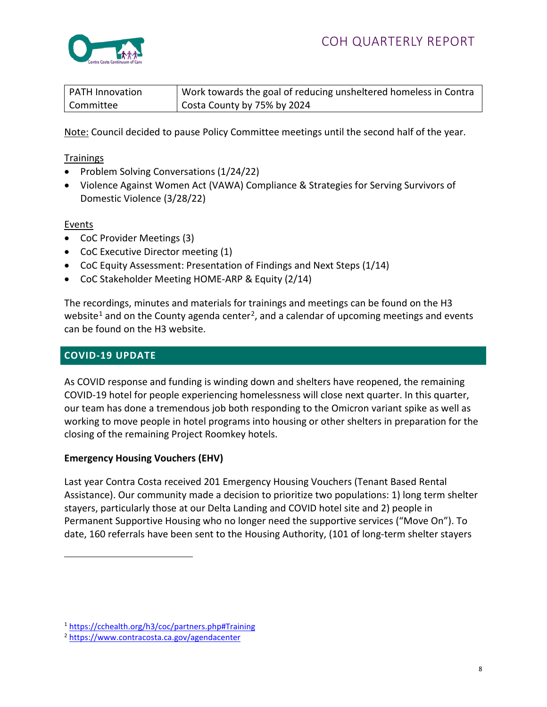

| PATH Innovation | Work towards the goal of reducing unsheltered homeless in Contra |
|-----------------|------------------------------------------------------------------|
| Committee       | Costa County by 75% by 2024                                      |

Note: Council decided to pause Policy Committee meetings until the second half of the year.

### **Trainings**

- Problem Solving Conversations (1/24/22)
- Violence Against Women Act (VAWA) Compliance & Strategies for Serving Survivors of Domestic Violence (3/28/22)

#### Events

- CoC Provider Meetings (3)
- CoC Executive Director meeting (1)
- CoC Equity Assessment: Presentation of Findings and Next Steps (1/14)
- CoC Stakeholder Meeting HOME-ARP & Equity (2/14)

The recordings, minutes and materials for trainings and meetings can be found on the H3 website<sup>[1](#page-7-0)</sup> and on the County agenda center<sup>[2](#page-7-1)</sup>, and a calendar of upcoming meetings and events can be found on the H3 website.

### **COVID-19 UPDATE**

As COVID response and funding is winding down and shelters have reopened, the remaining COVID-19 hotel for people experiencing homelessness will close next quarter. In this quarter, our team has done a tremendous job both responding to the Omicron variant spike as well as working to move people in hotel programs into housing or other shelters in preparation for the closing of the remaining Project Roomkey hotels.

### **Emergency Housing Vouchers (EHV)**

Last year Contra Costa received 201 Emergency Housing Vouchers (Tenant Based Rental Assistance). Our community made a decision to prioritize two populations: 1) long term shelter stayers, particularly those at our Delta Landing and COVID hotel site and 2) people in Permanent Supportive Housing who no longer need the supportive services ("Move On"). To date, 160 referrals have been sent to the Housing Authority, (101 of long-term shelter stayers

<span id="page-7-0"></span><sup>1</sup> <https://cchealth.org/h3/coc/partners.php#Training>

<span id="page-7-1"></span><sup>2</sup> <https://www.contracosta.ca.gov/agendacenter>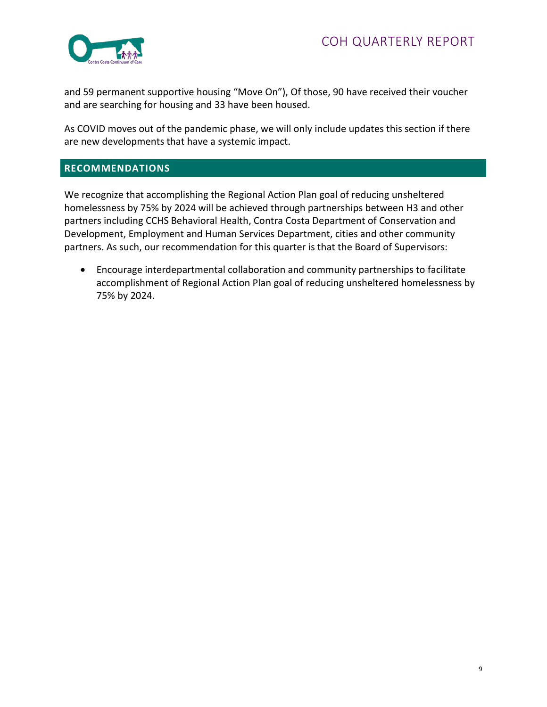

and 59 permanent supportive housing "Move On"), Of those, 90 have received their voucher and are searching for housing and 33 have been housed.

As COVID moves out of the pandemic phase, we will only include updates this section if there are new developments that have a systemic impact.

### **RECOMMENDATIONS**

We recognize that accomplishing the Regional Action Plan goal of reducing unsheltered homelessness by 75% by 2024 will be achieved through partnerships between H3 and other partners including CCHS Behavioral Health, Contra Costa Department of Conservation and Development, Employment and Human Services Department, cities and other community partners. As such, our recommendation for this quarter is that the Board of Supervisors:

• Encourage interdepartmental collaboration and community partnerships to facilitate accomplishment of Regional Action Plan goal of reducing unsheltered homelessness by 75% by 2024.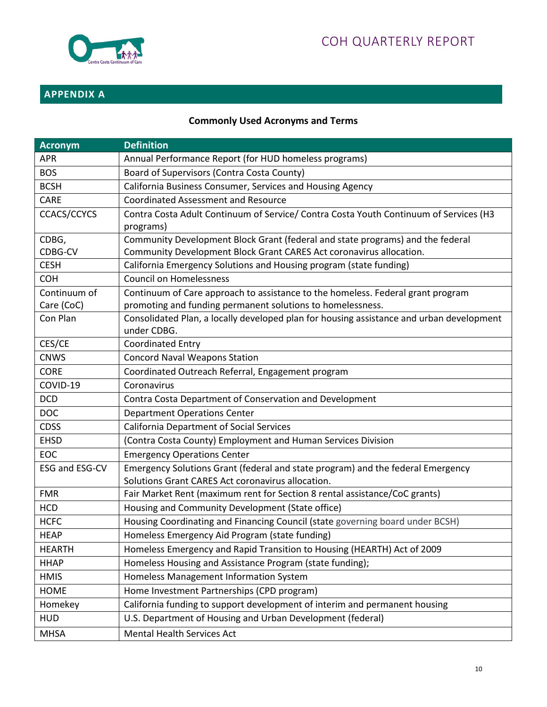

# **APPENDIX A**

# **Commonly Used Acronyms and Terms**

| <b>Acronym</b>     | <b>Definition</b>                                                                                       |
|--------------------|---------------------------------------------------------------------------------------------------------|
| <b>APR</b>         | Annual Performance Report (for HUD homeless programs)                                                   |
| <b>BOS</b>         | Board of Supervisors (Contra Costa County)                                                              |
| <b>BCSH</b>        | California Business Consumer, Services and Housing Agency                                               |
| CARE               | <b>Coordinated Assessment and Resource</b>                                                              |
| <b>CCACS/CCYCS</b> | Contra Costa Adult Continuum of Service/ Contra Costa Youth Continuum of Services (H3<br>programs)      |
| CDBG,              | Community Development Block Grant (federal and state programs) and the federal                          |
| CDBG-CV            | Community Development Block Grant CARES Act coronavirus allocation.                                     |
| <b>CESH</b>        | California Emergency Solutions and Housing program (state funding)                                      |
| <b>COH</b>         | <b>Council on Homelessness</b>                                                                          |
| Continuum of       | Continuum of Care approach to assistance to the homeless. Federal grant program                         |
| Care (CoC)         | promoting and funding permanent solutions to homelessness.                                              |
| Con Plan           | Consolidated Plan, a locally developed plan for housing assistance and urban development<br>under CDBG. |
| CES/CE             | <b>Coordinated Entry</b>                                                                                |
| <b>CNWS</b>        | <b>Concord Naval Weapons Station</b>                                                                    |
| <b>CORE</b>        | Coordinated Outreach Referral, Engagement program                                                       |
| COVID-19           | Coronavirus                                                                                             |
| <b>DCD</b>         | Contra Costa Department of Conservation and Development                                                 |
| <b>DOC</b>         | <b>Department Operations Center</b>                                                                     |
| <b>CDSS</b>        | <b>California Department of Social Services</b>                                                         |
| <b>EHSD</b>        | (Contra Costa County) Employment and Human Services Division                                            |
| <b>EOC</b>         | <b>Emergency Operations Center</b>                                                                      |
| ESG and ESG-CV     | Emergency Solutions Grant (federal and state program) and the federal Emergency                         |
|                    | Solutions Grant CARES Act coronavirus allocation.                                                       |
| <b>FMR</b>         | Fair Market Rent (maximum rent for Section 8 rental assistance/CoC grants)                              |
| <b>HCD</b>         | Housing and Community Development (State office)                                                        |
| <b>HCFC</b>        | Housing Coordinating and Financing Council (state governing board under BCSH)                           |
| <b>HEAP</b>        | Homeless Emergency Aid Program (state funding)                                                          |
| <b>HEARTH</b>      | Homeless Emergency and Rapid Transition to Housing (HEARTH) Act of 2009                                 |
| <b>HHAP</b>        | Homeless Housing and Assistance Program (state funding);                                                |
| <b>HMIS</b>        | Homeless Management Information System                                                                  |
| <b>HOME</b>        | Home Investment Partnerships (CPD program)                                                              |
| Homekey            | California funding to support development of interim and permanent housing                              |
| <b>HUD</b>         | U.S. Department of Housing and Urban Development (federal)                                              |
| <b>MHSA</b>        | Mental Health Services Act                                                                              |